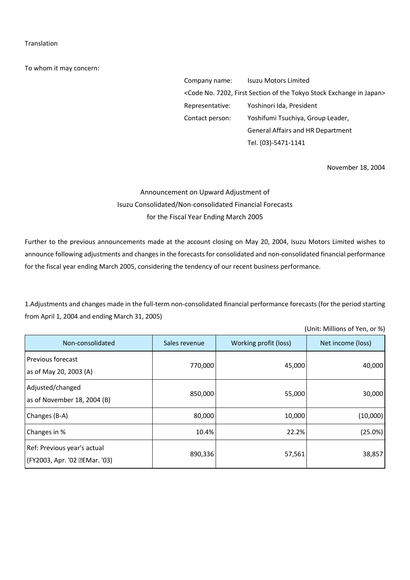## Translation

To whom it may concern:

Company name: Isuzu Motors Limited <Code No. 7202, First Section of the Tokyo Stock Exchange in Japan> Representative: Yoshinori Ida, President Contact person: Yoshifumi Tsuchiya, Group Leader, General Affairs and HR Department Tel. (03)-5471-1141

November 18, 2004

## Announcement on Upward Adjustment of Isuzu Consolidated/Non-consolidated Financial Forecasts for the Fiscal Year Ending March 2005

Further to the previous announcements made at the account closing on May 20, 2004, Isuzu Motors Limited wishes to announce following adjustments and changes in the forecasts for consolidated and non-consolidated financial performance for the fiscal year ending March 2005, considering the tendency of our recent business performance.

1.Adjustments and changes made in the full-term non-consolidated financial performance forecasts (for the period starting from April 1, 2004 and ending March 31, 2005)

|                                                               |               |                       | (Unit: Millions of Yen, or %) |
|---------------------------------------------------------------|---------------|-----------------------|-------------------------------|
| Non-consolidated                                              | Sales revenue | Working profit (loss) | Net income (loss)             |
| Previous forecast<br>as of May 20, 2003 (A)                   | 770,000       | 45,000                | 40,000                        |
| Adjusted/changed<br>as of November 18, 2004 (B)               | 850,000       | 55,000                | 30,000                        |
| Changes (B-A)                                                 | 80,000        | 10,000                | (10,000)                      |
| Changes in %                                                  | 10.4%         | 22.2%                 | (25.0%)                       |
| Ref: Previous year's actual<br>(FY2003, Apr. '02 . EMar. '03) | 890,336       | 57,561                | 38,857                        |